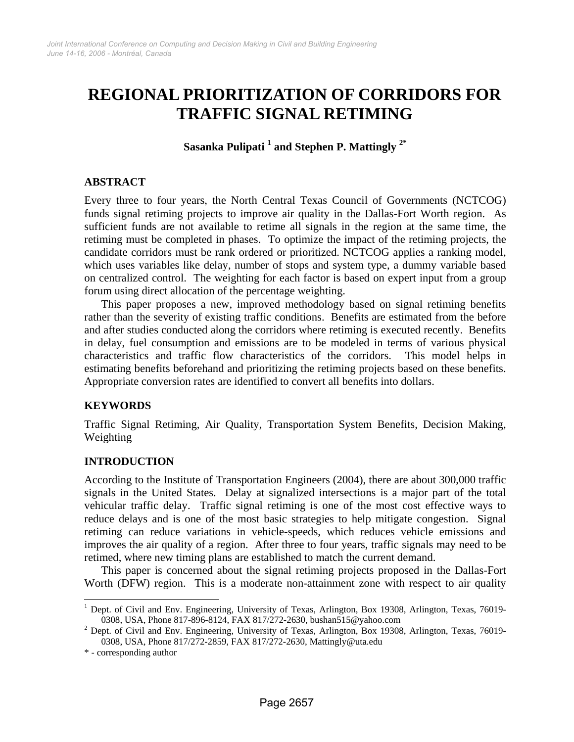# **REGIONAL PRIORITIZATION OF CORRIDORS FOR TRAFFIC SIGNAL RETIMING**

**Sasanka Pulipati 1 and Stephen P. Mattingly 2\*** 

### **ABSTRACT**

Every three to four years, the North Central Texas Council of Governments (NCTCOG) funds signal retiming projects to improve air quality in the Dallas-Fort Worth region. As sufficient funds are not available to retime all signals in the region at the same time, the retiming must be completed in phases. To optimize the impact of the retiming projects, the candidate corridors must be rank ordered or prioritized. NCTCOG applies a ranking model, which uses variables like delay, number of stops and system type, a dummy variable based on centralized control. The weighting for each factor is based on expert input from a group forum using direct allocation of the percentage weighting.

This paper proposes a new, improved methodology based on signal retiming benefits rather than the severity of existing traffic conditions. Benefits are estimated from the before and after studies conducted along the corridors where retiming is executed recently. Benefits in delay, fuel consumption and emissions are to be modeled in terms of various physical characteristics and traffic flow characteristics of the corridors. This model helps in estimating benefits beforehand and prioritizing the retiming projects based on these benefits. Appropriate conversion rates are identified to convert all benefits into dollars.

### **KEYWORDS**

Traffic Signal Retiming, Air Quality, Transportation System Benefits, Decision Making, Weighting

### **INTRODUCTION**

According to the Institute of Transportation Engineers (2004), there are about 300,000 traffic signals in the United States. Delay at signalized intersections is a major part of the total vehicular traffic delay. Traffic signal retiming is one of the most cost effective ways to reduce delays and is one of the most basic strategies to help mitigate congestion. Signal retiming can reduce variations in vehicle-speeds, which reduces vehicle emissions and improves the air quality of a region. After three to four years, traffic signals may need to be retimed, where new timing plans are established to match the current demand.

This paper is concerned about the signal retiming projects proposed in the Dallas-Fort Worth (DFW) region. This is a moderate non-attainment zone with respect to air quality

 $\overline{\phantom{a}}$ 

<sup>&</sup>lt;sup>1</sup> Dept. of Civil and Env. Engineering, University of Texas, Arlington, Box 19308, Arlington, Texas, 76019-0308, USA, Phone 817-896-8124, FAX 817/272-2630, bushan515@yahoo.com 2

 $<sup>2</sup>$  Dept. of Civil and Env. Engineering, University of Texas, Arlington, Box 19308, Arlington, Texas, 76019-</sup> 0308, USA, Phone 817/272-2859, FAX 817/272-2630, Mattingly@uta.edu

<sup>\* -</sup> corresponding author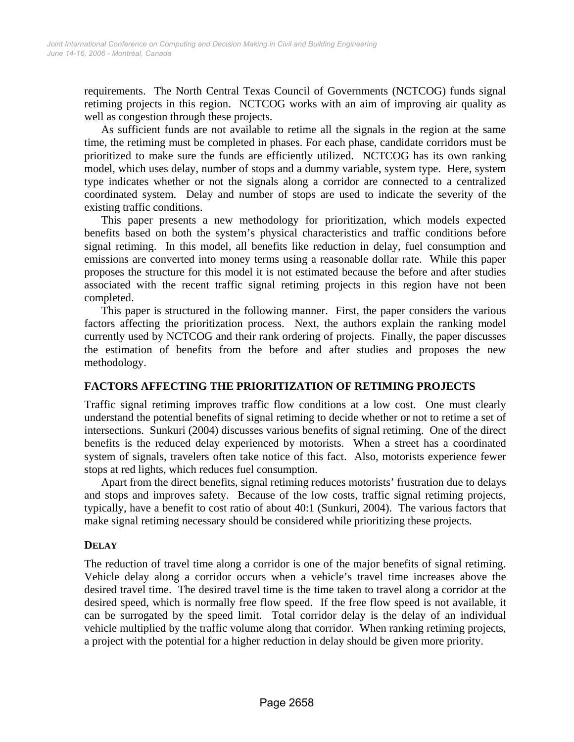requirements. The North Central Texas Council of Governments (NCTCOG) funds signal retiming projects in this region. NCTCOG works with an aim of improving air quality as well as congestion through these projects.

As sufficient funds are not available to retime all the signals in the region at the same time, the retiming must be completed in phases. For each phase, candidate corridors must be prioritized to make sure the funds are efficiently utilized. NCTCOG has its own ranking model, which uses delay, number of stops and a dummy variable, system type. Here, system type indicates whether or not the signals along a corridor are connected to a centralized coordinated system. Delay and number of stops are used to indicate the severity of the existing traffic conditions.

This paper presents a new methodology for prioritization, which models expected benefits based on both the system's physical characteristics and traffic conditions before signal retiming. In this model, all benefits like reduction in delay, fuel consumption and emissions are converted into money terms using a reasonable dollar rate. While this paper proposes the structure for this model it is not estimated because the before and after studies associated with the recent traffic signal retiming projects in this region have not been completed.

This paper is structured in the following manner. First, the paper considers the various factors affecting the prioritization process. Next, the authors explain the ranking model currently used by NCTCOG and their rank ordering of projects. Finally, the paper discusses the estimation of benefits from the before and after studies and proposes the new methodology.

### **FACTORS AFFECTING THE PRIORITIZATION OF RETIMING PROJECTS**

Traffic signal retiming improves traffic flow conditions at a low cost. One must clearly understand the potential benefits of signal retiming to decide whether or not to retime a set of intersections. Sunkuri (2004) discusses various benefits of signal retiming. One of the direct benefits is the reduced delay experienced by motorists. When a street has a coordinated system of signals, travelers often take notice of this fact. Also, motorists experience fewer stops at red lights, which reduces fuel consumption.

Apart from the direct benefits, signal retiming reduces motorists' frustration due to delays and stops and improves safety. Because of the low costs, traffic signal retiming projects, typically, have a benefit to cost ratio of about 40:1 (Sunkuri, 2004). The various factors that make signal retiming necessary should be considered while prioritizing these projects.

### **DELAY**

The reduction of travel time along a corridor is one of the major benefits of signal retiming. Vehicle delay along a corridor occurs when a vehicle's travel time increases above the desired travel time. The desired travel time is the time taken to travel along a corridor at the desired speed, which is normally free flow speed. If the free flow speed is not available, it can be surrogated by the speed limit. Total corridor delay is the delay of an individual vehicle multiplied by the traffic volume along that corridor. When ranking retiming projects, a project with the potential for a higher reduction in delay should be given more priority.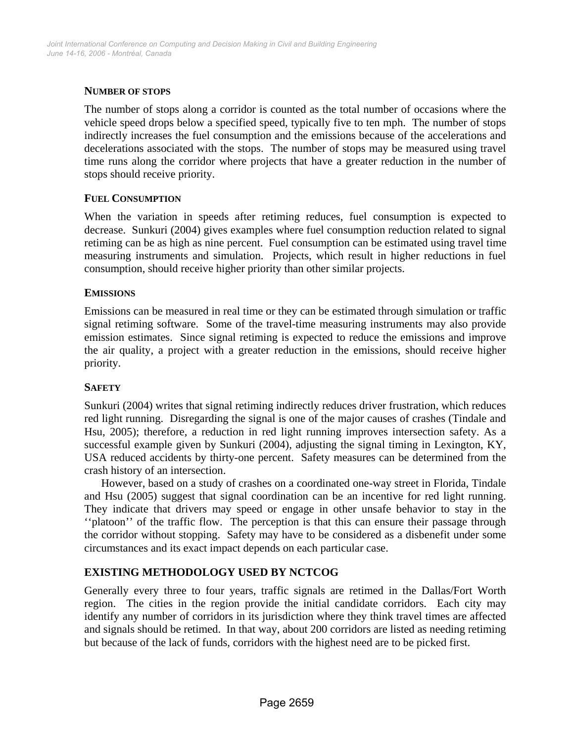### **NUMBER OF STOPS**

The number of stops along a corridor is counted as the total number of occasions where the vehicle speed drops below a specified speed, typically five to ten mph. The number of stops indirectly increases the fuel consumption and the emissions because of the accelerations and decelerations associated with the stops. The number of stops may be measured using travel time runs along the corridor where projects that have a greater reduction in the number of stops should receive priority.

### **FUEL CONSUMPTION**

When the variation in speeds after retiming reduces, fuel consumption is expected to decrease. Sunkuri (2004) gives examples where fuel consumption reduction related to signal retiming can be as high as nine percent. Fuel consumption can be estimated using travel time measuring instruments and simulation. Projects, which result in higher reductions in fuel consumption, should receive higher priority than other similar projects.

### **EMISSIONS**

Emissions can be measured in real time or they can be estimated through simulation or traffic signal retiming software. Some of the travel-time measuring instruments may also provide emission estimates. Since signal retiming is expected to reduce the emissions and improve the air quality, a project with a greater reduction in the emissions, should receive higher priority.

### **SAFETY**

Sunkuri (2004) writes that signal retiming indirectly reduces driver frustration, which reduces red light running. Disregarding the signal is one of the major causes of crashes (Tindale and Hsu, 2005); therefore, a reduction in red light running improves intersection safety. As a successful example given by Sunkuri (2004), adjusting the signal timing in Lexington, KY, USA reduced accidents by thirty-one percent. Safety measures can be determined from the crash history of an intersection.

However, based on a study of crashes on a coordinated one-way street in Florida, Tindale and Hsu (2005) suggest that signal coordination can be an incentive for red light running. They indicate that drivers may speed or engage in other unsafe behavior to stay in the ''platoon'' of the traffic flow. The perception is that this can ensure their passage through the corridor without stopping. Safety may have to be considered as a disbenefit under some circumstances and its exact impact depends on each particular case.

# **EXISTING METHODOLOGY USED BY NCTCOG**

Generally every three to four years, traffic signals are retimed in the Dallas/Fort Worth region. The cities in the region provide the initial candidate corridors. Each city may identify any number of corridors in its jurisdiction where they think travel times are affected and signals should be retimed. In that way, about 200 corridors are listed as needing retiming but because of the lack of funds, corridors with the highest need are to be picked first.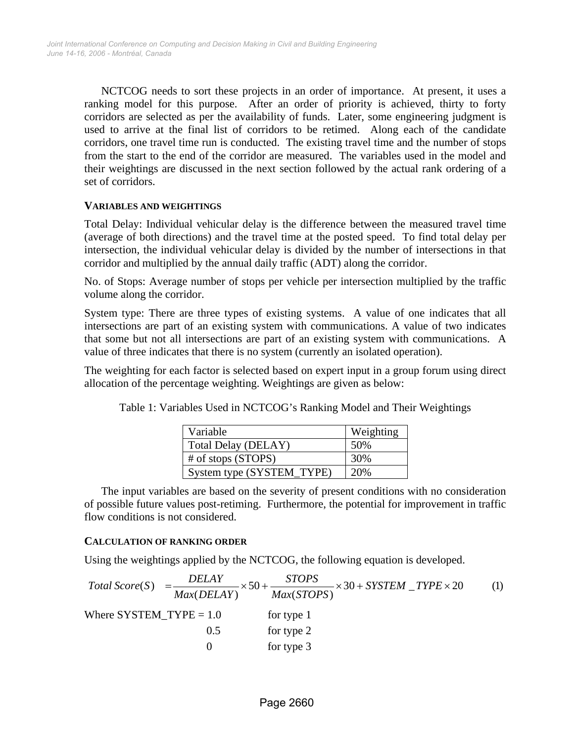NCTCOG needs to sort these projects in an order of importance. At present, it uses a ranking model for this purpose. After an order of priority is achieved, thirty to forty corridors are selected as per the availability of funds. Later, some engineering judgment is used to arrive at the final list of corridors to be retimed. Along each of the candidate corridors, one travel time run is conducted. The existing travel time and the number of stops from the start to the end of the corridor are measured. The variables used in the model and their weightings are discussed in the next section followed by the actual rank ordering of a set of corridors.

### **VARIABLES AND WEIGHTINGS**

Total Delay: Individual vehicular delay is the difference between the measured travel time (average of both directions) and the travel time at the posted speed. To find total delay per intersection, the individual vehicular delay is divided by the number of intersections in that corridor and multiplied by the annual daily traffic (ADT) along the corridor.

No. of Stops: Average number of stops per vehicle per intersection multiplied by the traffic volume along the corridor.

System type: There are three types of existing systems. A value of one indicates that all intersections are part of an existing system with communications. A value of two indicates that some but not all intersections are part of an existing system with communications. A value of three indicates that there is no system (currently an isolated operation).

The weighting for each factor is selected based on expert input in a group forum using direct allocation of the percentage weighting. Weightings are given as below:

| Variable                   | Weighting |
|----------------------------|-----------|
| <b>Total Delay (DELAY)</b> | 50%       |
| $\#$ of stops (STOPS)      | 30%       |
| System type (SYSTEM_TYPE)  | 20%       |

Table 1: Variables Used in NCTCOG's Ranking Model and Their Weightings

The input variables are based on the severity of present conditions with no consideration of possible future values post-retiming. Furthermore, the potential for improvement in traffic flow conditions is not considered.

#### **CALCULATION OF RANKING ORDER**

Using the weightings applied by the NCTCOG, the following equation is developed.

Total Score(S) = 
$$
\frac{DELAY}{Max(DELAY)} \times 50 + \frac{STOPS}{Max(STOPS)} \times 30 + SYSTEM\_TYPE \times 20
$$
 (1)  
Where SYSTEM\_TYPE = 1.0 for type 1  
0.5 for type 2  
0 for type 3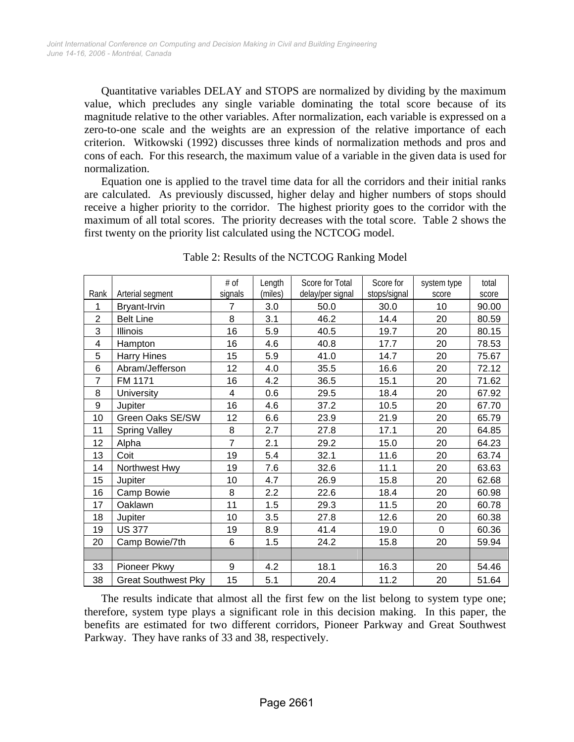Quantitative variables DELAY and STOPS are normalized by dividing by the maximum value, which precludes any single variable dominating the total score because of its magnitude relative to the other variables. After normalization, each variable is expressed on a zero-to-one scale and the weights are an expression of the relative importance of each criterion. Witkowski (1992) discusses three kinds of normalization methods and pros and cons of each. For this research, the maximum value of a variable in the given data is used for normalization.

Equation one is applied to the travel time data for all the corridors and their initial ranks are calculated. As previously discussed, higher delay and higher numbers of stops should receive a higher priority to the corridor. The highest priority goes to the corridor with the maximum of all total scores. The priority decreases with the total score. Table 2 shows the first twenty on the priority list calculated using the NCTCOG model.

|                |                            | # of           | Length  | Score for Total  | Score for    | system type | total |
|----------------|----------------------------|----------------|---------|------------------|--------------|-------------|-------|
| Rank           | Arterial segment           | signals        | (miles) | delay/per signal | stops/signal | score       | score |
| 1              | Bryant-Irvin               | $\overline{7}$ | 3.0     | 50.0             | 30.0         | 10          | 90.00 |
| $\overline{2}$ | <b>Belt Line</b>           | 8              | 3.1     | 46.2             | 14.4         | 20          | 80.59 |
| 3              | Illinois                   | 16             | 5.9     | 40.5             | 19.7         | 20          | 80.15 |
| 4              | Hampton                    | 16             | 4.6     | 40.8             | 17.7         | 20          | 78.53 |
| 5              | <b>Harry Hines</b>         | 15             | 5.9     | 41.0             | 14.7         | 20          | 75.67 |
| 6              | Abram/Jefferson            | 12             | 4.0     | 35.5             | 16.6         | 20          | 72.12 |
| $\overline{7}$ | FM 1171                    | 16             | 4.2     | 36.5             | 15.1         | 20          | 71.62 |
| 8              | <b>University</b>          | $\overline{4}$ | 0.6     | 29.5             | 18.4         | 20          | 67.92 |
| 9              | Jupiter                    | 16             | 4.6     | 37.2             | 10.5         | 20          | 67.70 |
| 10             | Green Oaks SE/SW           | 12             | 6.6     | 23.9             | 21.9         | 20          | 65.79 |
| 11             | <b>Spring Valley</b>       | 8              | 2.7     | 27.8             | 17.1         | 20          | 64.85 |
| 12             | Alpha                      | $\overline{7}$ | 2.1     | 29.2             | 15.0         | 20          | 64.23 |
| 13             | Coit                       | 19             | 5.4     | 32.1             | 11.6         | 20          | 63.74 |
| 14             | Northwest Hwy              | 19             | 7.6     | 32.6             | 11.1         | 20          | 63.63 |
| 15             | Jupiter                    | 10             | 4.7     | 26.9             | 15.8         | 20          | 62.68 |
| 16             | Camp Bowie                 | 8              | 2.2     | 22.6             | 18.4         | 20          | 60.98 |
| 17             | Oaklawn                    | 11             | 1.5     | 29.3             | 11.5         | 20          | 60.78 |
| 18             | Jupiter                    | 10             | 3.5     | 27.8             | 12.6         | 20          | 60.38 |
| 19             | <b>US 377</b>              | 19             | 8.9     | 41.4             | 19.0         | $\Omega$    | 60.36 |
| 20             | Camp Bowie/7th             | 6              | 1.5     | 24.2             | 15.8         | 20          | 59.94 |
|                |                            |                |         |                  |              |             |       |
| 33             | Pioneer Pkwy               | 9              | 4.2     | 18.1             | 16.3         | 20          | 54.46 |
| 38             | <b>Great Southwest Pky</b> | 15             | 5.1     | 20.4             | 11.2         | 20          | 51.64 |

Table 2: Results of the NCTCOG Ranking Model

The results indicate that almost all the first few on the list belong to system type one; therefore, system type plays a significant role in this decision making. In this paper, the benefits are estimated for two different corridors, Pioneer Parkway and Great Southwest Parkway. They have ranks of 33 and 38, respectively.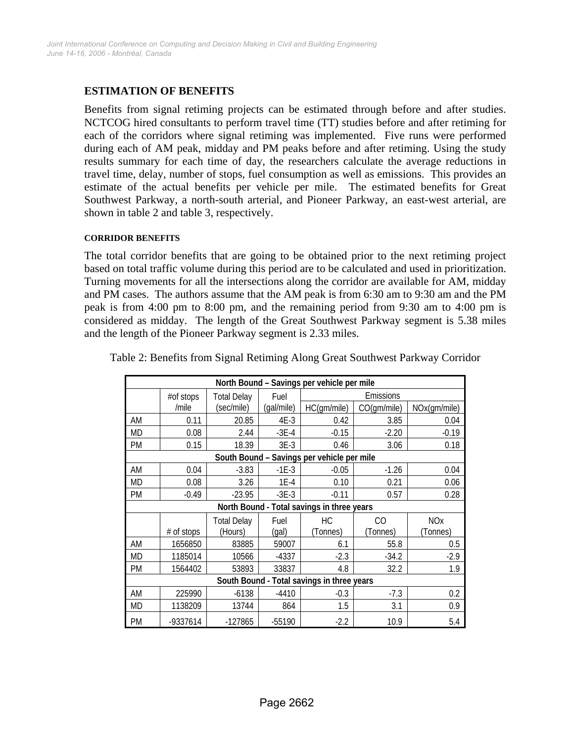# **ESTIMATION OF BENEFITS**

Benefits from signal retiming projects can be estimated through before and after studies. NCTCOG hired consultants to perform travel time (TT) studies before and after retiming for each of the corridors where signal retiming was implemented. Five runs were performed during each of AM peak, midday and PM peaks before and after retiming. Using the study results summary for each time of day, the researchers calculate the average reductions in travel time, delay, number of stops, fuel consumption as well as emissions. This provides an estimate of the actual benefits per vehicle per mile. The estimated benefits for Great Southwest Parkway, a north-south arterial, and Pioneer Parkway, an east-west arterial, are shown in table 2 and table 3, respectively.

#### **CORRIDOR BENEFITS**

The total corridor benefits that are going to be obtained prior to the next retiming project based on total traffic volume during this period are to be calculated and used in prioritization. Turning movements for all the intersections along the corridor are available for AM, midday and PM cases. The authors assume that the AM peak is from 6:30 am to 9:30 am and the PM peak is from 4:00 pm to 8:00 pm, and the remaining period from 9:30 am to 4:00 pm is considered as midday. The length of the Great Southwest Parkway segment is 5.38 miles and the length of the Pioneer Parkway segment is 2.33 miles.

| North Bound - Savings per vehicle per mile |            |                        |               |                                            |             |                                   |  |  |
|--------------------------------------------|------------|------------------------|---------------|--------------------------------------------|-------------|-----------------------------------|--|--|
|                                            | #of stops  | <b>Total Delay</b>     | Fuel          | Emissions                                  |             |                                   |  |  |
|                                            | /mile      | (sec/mile)             | (gal/mile)    | HC(gm/mile)                                | CO(gm/mile) | NOx(gm/mile)                      |  |  |
| AM                                         | 0.11       | 20.85                  | 4E-3          | 0.42                                       | 3.85        | 0.04                              |  |  |
| MD                                         | 0.08       | 2.44                   | $-3E-4$       | $-0.15$                                    | $-2.20$     | $-0.19$                           |  |  |
| PM                                         | 0.15       | 18.39                  | $3E-3$        | 0.46                                       | 3.06        | 0.18                              |  |  |
| South Bound - Savings per vehicle per mile |            |                        |               |                                            |             |                                   |  |  |
| AM                                         | 0.04       | $-3.83$                | $-1E-3$       | $-0.05$                                    | $-1.26$     | 0.04                              |  |  |
| MD                                         | 0.08       | 3.26                   | $1E-4$        | 0.10                                       | 0.21        | 0.06                              |  |  |
| PM                                         | $-0.49$    | $-23.95$               | $-3E-3$       | $-0.11$                                    | 0.57        | 0.28                              |  |  |
|                                            |            |                        |               | North Bound - Total savings in three years |             |                                   |  |  |
|                                            | # of stops | Total Delay<br>(Hours) | Fuel<br>(gal) | CO<br>НC<br>(Tonnes)<br>(Tonnes)           |             | <b>NO<sub>x</sub></b><br>(Tonnes) |  |  |
| AM                                         | 1656850    | 83885                  | 59007         | 6.1                                        | 55.8        | 0.5                               |  |  |
| MD                                         | 1185014    | 10566                  | $-4337$       | $-2.3$                                     | $-34.2$     | $-2.9$                            |  |  |
| PM                                         | 1564402    | 53893                  | 33837         | 4.8                                        | 32.2        | 1.9                               |  |  |
| South Bound - Total savings in three years |            |                        |               |                                            |             |                                   |  |  |
| AM                                         | 225990     | $-6138$                | $-4410$       | $-0.3$                                     | $-7.3$      | 0.2                               |  |  |
| MD                                         | 1138209    | 13744                  | 864           | 1.5                                        | 3.1         | 0.9                               |  |  |
| PM                                         | -9337614   | $-127865$              | -55190        | $-2.2$                                     | 10.9        | 5.4                               |  |  |

Table 2: Benefits from Signal Retiming Along Great Southwest Parkway Corridor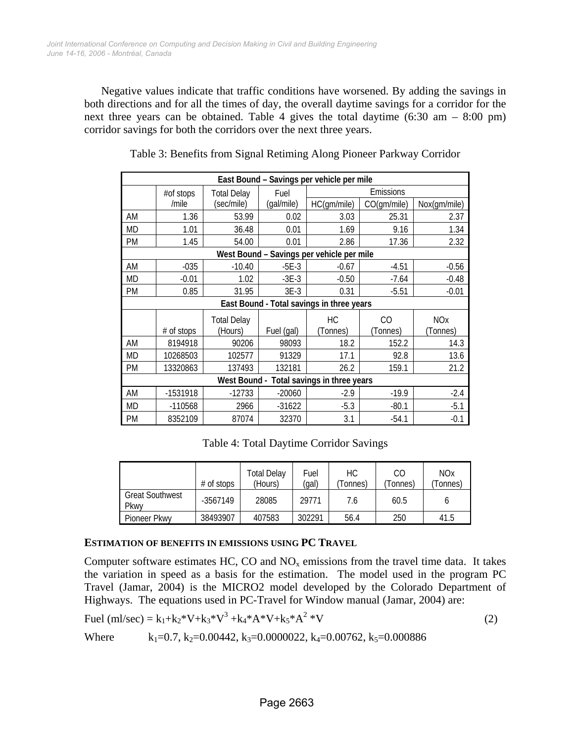Negative values indicate that traffic conditions have worsened. By adding the savings in both directions and for all the times of day, the overall daytime savings for a corridor for the next three years can be obtained. Table 4 gives the total daytime  $(6:30 \text{ am } -8:00 \text{ pm})$ corridor savings for both the corridors over the next three years.

| East Bound - Savings per vehicle per mile    |                                           |                    |                   |             |             |              |  |  |
|----------------------------------------------|-------------------------------------------|--------------------|-------------------|-------------|-------------|--------------|--|--|
|                                              | #of stops                                 | <b>Total Delay</b> | Emissions<br>Fuel |             |             |              |  |  |
|                                              | /mile                                     | (sec/mile)         | (gal/mile)        | HC(gm/mile) | CO(gm/mile) | Nox(gm/mile) |  |  |
| AM                                           | 1.36                                      | 53.99              | 0.02              | 3.03        | 25.31       | 2.37         |  |  |
| <b>MD</b>                                    | 1.01                                      | 36.48              | 0.01              | 1.69        | 9.16        | 1.34         |  |  |
| PM                                           | 1.45                                      | 54.00              | 0.01              | 2.86        | 17.36       | 2.32         |  |  |
| West Bound - Savings per vehicle per mile    |                                           |                    |                   |             |             |              |  |  |
| AM                                           | $-035$                                    | $-10.40$           | $-5E-3$           | $-0.67$     | $-4.51$     | $-0.56$      |  |  |
| MD                                           | $-0.01$                                   | 1.02               | $-3E-3$           | $-0.50$     | $-7.64$     | $-0.48$      |  |  |
| PM                                           | 0.85                                      | 31.95              | $3E-3$            | 0.31        | $-5.51$     | $-0.01$      |  |  |
|                                              | East Bound - Total savings in three years |                    |                   |             |             |              |  |  |
|                                              | <b>Total Delay</b>                        |                    |                   | HC          | CO          | <b>NOx</b>   |  |  |
|                                              | # of stops                                | (Hours)            | Fuel (gal)        | (Tonnes)    | (Tonnes)    | (Tonnes)     |  |  |
| AM                                           | 8194918                                   | 90206              | 98093             | 18.2        | 152.2       | 14.3         |  |  |
| МD                                           | 10268503                                  | 102577             | 91329             | 17.1        | 92.8        | 13.6         |  |  |
| PM                                           | 13320863                                  | 137493             | 132181            | 26.2        | 159.1       | 21.2         |  |  |
| Total savings in three years<br>West Bound - |                                           |                    |                   |             |             |              |  |  |
| AM                                           | -1531918                                  | $-12733$           | $-20060$          | $-2.9$      | $-19.9$     | $-2.4$       |  |  |
| МD                                           | $-110568$                                 | 2966               | $-31622$          | $-5.3$      | $-80.1$     | $-5.1$       |  |  |
| <b>PM</b>                                    | 8352109                                   | 87074              | 32370             | 3.1         | $-54.1$     | $-0.1$       |  |  |

Table 3: Benefits from Signal Retiming Along Pioneer Parkway Corridor

Table 4: Total Daytime Corridor Savings

|                                | $#$ of stops | Total Delay<br>(Hours) | Fuel<br>(gal) | НC<br>Tonnes) | CО<br>(Tonnes | <b>NOx</b><br>Tonnes) |
|--------------------------------|--------------|------------------------|---------------|---------------|---------------|-----------------------|
| <b>Great Southwest</b><br>Pkwy | $-3567149$   | 28085                  | 29771         | 7.6           | 60.5          |                       |
| Pioneer Pkwy                   | 38493907     | 407583                 | 302291        | 56.4          | 250           | 41.5                  |

### **ESTIMATION OF BENEFITS IN EMISSIONS USING PC TRAVEL**

Computer software estimates HC, CO and  $NO<sub>x</sub>$  emissions from the travel time data. It takes the variation in speed as a basis for the estimation. The model used in the program PC Travel (Jamar, 2004) is the MICRO2 model developed by the Colorado Department of Highways. The equations used in PC-Travel for Window manual (Jamar, 2004) are:

Full (ml/sec) = 
$$
k_1 + k_2 * V + k_3 * V^3 + k_4 * A * V + k_5 * A^2 * V
$$

\n(2)

\n1.  $k_1 + k_2 * V + k_3 * V^3 + k_4 * A * V + k_5 * A^2 * V$ 

Where  $k_1=0.7$ ,  $k_2=0.00442$ ,  $k_3=0.0000022$ ,  $k_4=0.00762$ ,  $k_5=0.000886$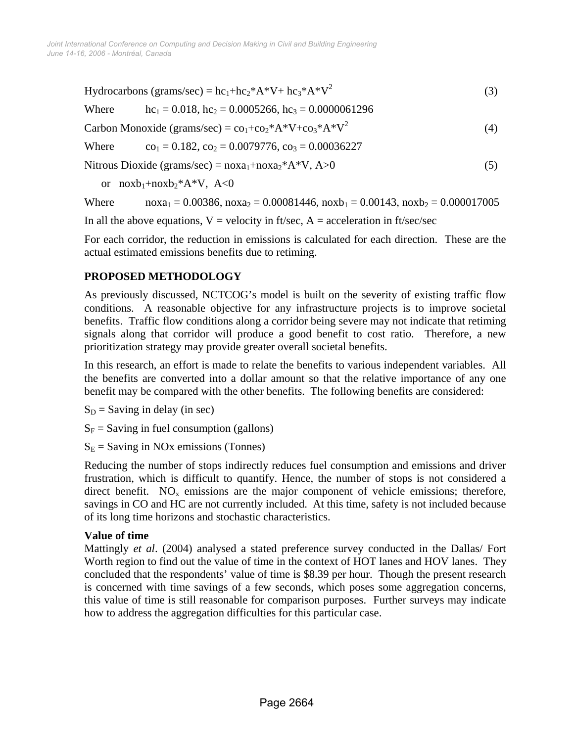Hydrocarbons (grams/sec) =  $hc_1 + hc_2^*A^*V + hc_3^*A^*V^2$ (3)

Where 
$$
hc_1 = 0.018
$$
,  $hc_2 = 0.0005266$ ,  $hc_3 = 0.0000061296$ 

Carbon Monoxide (grams/sec) =  $co_1 + co_2 * A * V + co_3 * A * V^2$ (4)

Where  $co_1 = 0.182$ ,  $co_2 = 0.0079776$ ,  $co_3 = 0.00036227$ 

Nitrous Dioxide (grams/sec) =  $n\alpha_1 + n\alpha_2 * A * V$ , A > 0 (5)

or  $n(x + n(x + 1) + n(x + 2))$   $A \leq 0$ 

Where  $\text{noxa}_1 = 0.00386, \text{ noxa}_2 = 0.00081446, \text{noxb}_1 = 0.00143, \text{noxb}_2 = 0.000017005$ 

In all the above equations,  $V =$  velocity in ft/sec,  $A =$  acceleration in ft/sec/sec

For each corridor, the reduction in emissions is calculated for each direction. These are the actual estimated emissions benefits due to retiming.

# **PROPOSED METHODOLOGY**

As previously discussed, NCTCOG's model is built on the severity of existing traffic flow conditions. A reasonable objective for any infrastructure projects is to improve societal benefits. Traffic flow conditions along a corridor being severe may not indicate that retiming signals along that corridor will produce a good benefit to cost ratio. Therefore, a new prioritization strategy may provide greater overall societal benefits.

In this research, an effort is made to relate the benefits to various independent variables. All the benefits are converted into a dollar amount so that the relative importance of any one benefit may be compared with the other benefits. The following benefits are considered:

 $S_D$  = Saving in delay (in sec)

 $S_F$  = Saving in fuel consumption (gallons)

 $S<sub>E</sub>$  = Saving in NOx emissions (Tonnes)

Reducing the number of stops indirectly reduces fuel consumption and emissions and driver frustration, which is difficult to quantify. Hence, the number of stops is not considered a direct benefit.  $NO<sub>x</sub>$  emissions are the major component of vehicle emissions; therefore, savings in CO and HC are not currently included. At this time, safety is not included because of its long time horizons and stochastic characteristics.

### **Value of time**

Mattingly *et al*. (2004) analysed a stated preference survey conducted in the Dallas/ Fort Worth region to find out the value of time in the context of HOT lanes and HOV lanes. They concluded that the respondents' value of time is \$8.39 per hour. Though the present research is concerned with time savings of a few seconds, which poses some aggregation concerns, this value of time is still reasonable for comparison purposes. Further surveys may indicate how to address the aggregation difficulties for this particular case.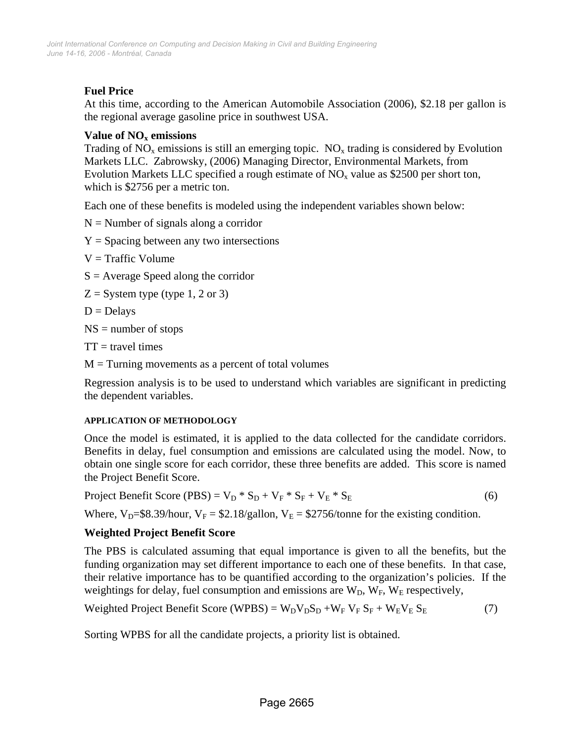# **Fuel Price**

At this time, according to the American Automobile Association (2006), \$2.18 per gallon is the regional average gasoline price in southwest USA.

# **Value of NO<sub>x</sub> emissions**

Trading of  $NO<sub>x</sub>$  emissions is still an emerging topic.  $NO<sub>x</sub>$  trading is considered by Evolution Markets LLC. Zabrowsky, (2006) Managing Director, Environmental Markets, from Evolution Markets LLC specified a rough estimate of  $NO<sub>x</sub>$  value as \$2500 per short ton, which is \$2756 per a metric ton.

Each one of these benefits is modeled using the independent variables shown below:

 $N =$  Number of signals along a corridor

- $Y =$  Spacing between any two intersections
- $V = \text{Traffic Volume}$
- $S =$  Average Speed along the corridor
- $Z =$  System type (type 1, 2 or 3)
- $D = Delavs$

 $NS =$  number of stops

 $TT =$  travel times

 $M =$ Turning movements as a percent of total volumes

Regression analysis is to be used to understand which variables are significant in predicting the dependent variables.

### **APPLICATION OF METHODOLOGY**

Once the model is estimated, it is applied to the data collected for the candidate corridors. Benefits in delay, fuel consumption and emissions are calculated using the model. Now, to obtain one single score for each corridor, these three benefits are added. This score is named the Project Benefit Score.

Project Benefit Score (PBS) =  $V_D * S_D + V_F * S_F + V_E * S_E$  (6)

Where,  $V_D$ =\$8.39/hour,  $V_F$  = \$2.18/gallon,  $V_E$  = \$2756/tonne for the existing condition.

# **Weighted Project Benefit Score**

The PBS is calculated assuming that equal importance is given to all the benefits, but the funding organization may set different importance to each one of these benefits. In that case, their relative importance has to be quantified according to the organization's policies. If the weightings for delay, fuel consumption and emissions are  $W_D$ ,  $W_F$ ,  $W_E$  respectively,

Weighted Project Benefit Score (WPBS) = 
$$
W_D V_D S_D + W_F V_F S_F + W_E V_E S_E
$$
 (7)

Sorting WPBS for all the candidate projects, a priority list is obtained.